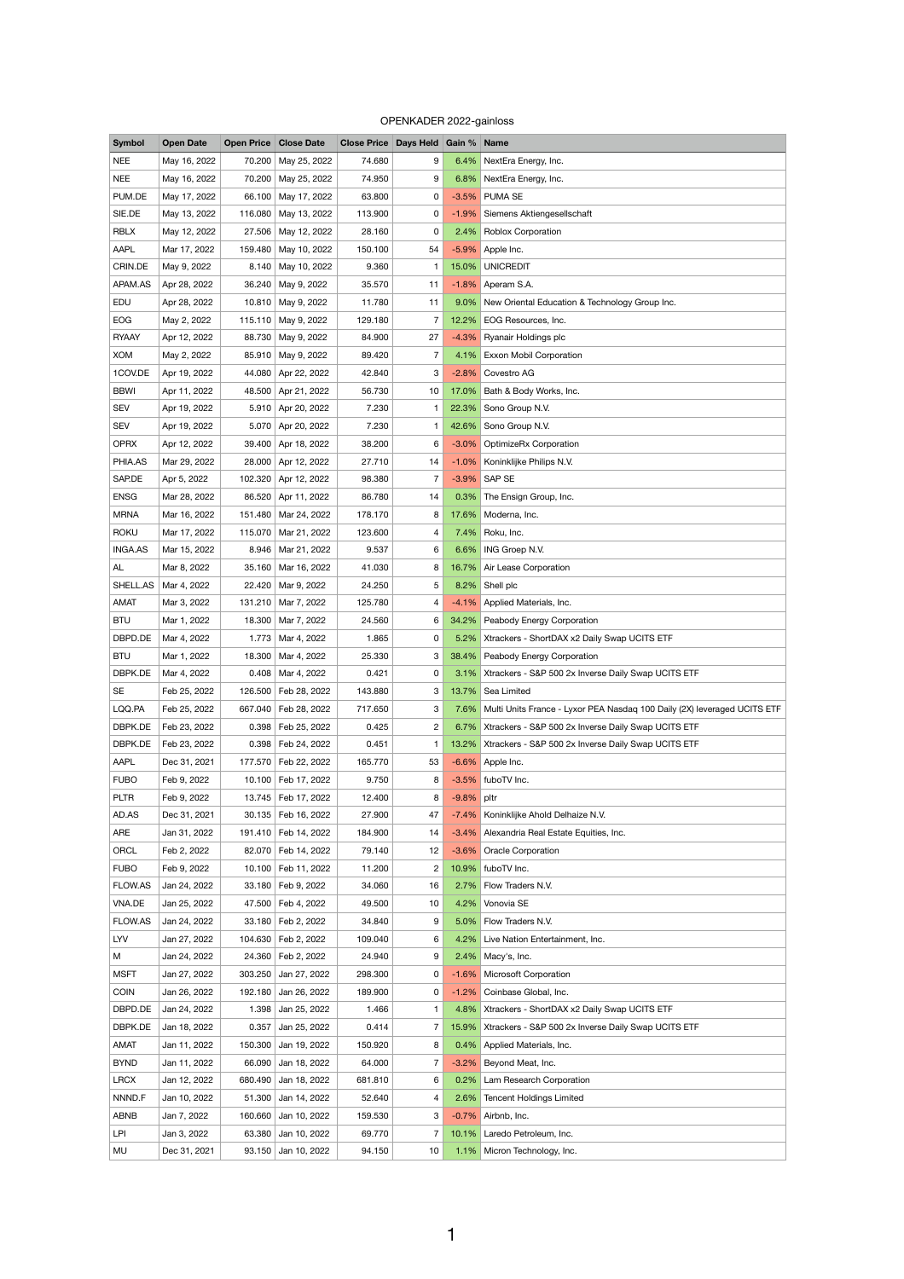## OPENKADER 2022-gainloss

| <b>Symbol</b>  | <b>Open Date</b> |         | <b>Open Price Close Date</b> | Close Price   Days Held   Gain %   Name |                 |            |                                                                               |
|----------------|------------------|---------|------------------------------|-----------------------------------------|-----------------|------------|-------------------------------------------------------------------------------|
| <b>NEE</b>     | May 16, 2022     | 70.200  | May 25, 2022                 | 74.680                                  | 9               |            | 6.4% NextEra Energy, Inc.                                                     |
| <b>NEE</b>     | May 16, 2022     |         | 70.200 May 25, 2022          | 74.950                                  | 9               |            | 6.8% NextEra Energy, Inc.                                                     |
| PUM.DE         | May 17, 2022     | 66.100  | May 17, 2022                 | 63.800                                  | 0               |            | -3.5% PUMA SE                                                                 |
| SIE.DE         | May 13, 2022     | 116.080 | May 13, 2022                 | 113.900                                 | 0               |            | -1.9% Siemens Aktiengesellschaft                                              |
| <b>RBLX</b>    | May 12, 2022     |         | 27.506 May 12, 2022          | 28.160                                  | 0               |            | 2.4% Roblox Corporation                                                       |
| <b>AAPL</b>    | Mar 17, 2022     | 159.480 | May 10, 2022                 | 150.100                                 | 54              |            | -5.9% Apple Inc.                                                              |
| CRIN.DE        | May 9, 2022      | 8.140   | May 10, 2022                 | 9.360                                   | $\mathbf{1}$    | 15.0%      | <b>UNICREDIT</b>                                                              |
| APAM.AS        | Apr 28, 2022     | 36.240  | May 9, 2022                  | 35.570                                  | 11              |            | $-1.8\%$ Aperam S.A.                                                          |
| EDU            | Apr 28, 2022     | 10.810  | May 9, 2022                  | 11.780                                  | 11              | $9.0\%$    | New Oriental Education & Technology Group Inc.                                |
| <b>EOG</b>     | May 2, 2022      | 115.110 | May 9, 2022                  | 129.180                                 | $\overline{7}$  |            | 12.2% EOG Resources, Inc.                                                     |
| <b>RYAAY</b>   | Apr 12, 2022     | 88.730  | May 9, 2022                  | 84.900                                  | 27              |            | -4.3% Ryanair Holdings plc                                                    |
| <b>XOM</b>     | May 2, 2022      | 85.910  | May 9, 2022                  | 89.420                                  | 7               |            | 4.1% Exxon Mobil Corporation                                                  |
| 1COV.DE        | Apr 19, 2022     | 44.080  | Apr 22, 2022                 | 42.840                                  | 3               |            | -2.8% Covestro AG                                                             |
| <b>BBWI</b>    | Apr 11, 2022     | 48.500  | Apr 21, 2022                 | 56.730                                  | 10              | 17.0%      | Bath & Body Works, Inc.                                                       |
| <b>SEV</b>     | Apr 19, 2022     | 5.910   | Apr 20, 2022                 | 7.230                                   |                 | 22.3%      | Sono Group N.V.                                                               |
| <b>SEV</b>     | Apr 19, 2022     | 5.070   | Apr 20, 2022                 | 7.230                                   |                 | 42.6%      | Sono Group N.V.                                                               |
| <b>OPRX</b>    | Apr 12, 2022     |         | 39.400 Apr 18, 2022          | 38.200                                  | 6               | $-3.0\%$   | <b>OptimizeRx Corporation</b>                                                 |
| PHIA.AS        | Mar 29, 2022     | 28.000  | Apr 12, 2022                 | 27.710                                  | 14              | $-1.0\%$   | Koninklijke Philips N.V.                                                      |
| SAP.DE         | Apr 5, 2022      | 102.320 | Apr 12, 2022                 | 98.380                                  | $\overline{7}$  |            | -3.9% SAP SE                                                                  |
| <b>ENSG</b>    | Mar 28, 2022     |         | 86.520 Apr 11, 2022          | 86.780                                  | 14              |            | 0.3% The Ensign Group, Inc.                                                   |
| <b>MRNA</b>    | Mar 16, 2022     |         | 151.480   Mar 24, 2022       | 178.170                                 | 8               |            | 17.6% Moderna, Inc.                                                           |
| <b>ROKU</b>    | Mar 17, 2022     |         | 115.070   Mar 21, 2022       | 123.600                                 |                 |            | 7.4% Roku, Inc.                                                               |
|                |                  |         |                              |                                         | 4               |            |                                                                               |
| <b>INGA.AS</b> | Mar 15, 2022     |         | 8.946   Mar 21, 2022         | 9.537                                   | 6               |            | 6.6% ING Groep N.V.                                                           |
| AL             | Mar 8, 2022      |         | 35.160 Mar 16, 2022          | 41.030                                  | 8               |            | 16.7% Air Lease Corporation                                                   |
| SHELL.AS       | Mar 4, 2022      |         | 22.420 Mar 9, 2022           | 24.250                                  | 5               |            | 8.2% Shell plc                                                                |
| AMAT           | Mar 3, 2022      |         | 131.210   Mar 7, 2022        | 125.780                                 | 4               |            | -4.1% Applied Materials, Inc.                                                 |
| <b>BTU</b>     | Mar 1, 2022      |         | 18.300   Mar 7, 2022         | 24.560                                  | 6               |            | 34.2% Peabody Energy Corporation                                              |
| DBPD.DE        | Mar 4, 2022      |         | 1.773 Mar 4, 2022            | 1.865                                   | 0               |            | 5.2% Xtrackers - ShortDAX x2 Daily Swap UCITS ETF                             |
| <b>BTU</b>     | Mar 1, 2022      |         | 18.300 Mar 4, 2022           | 25.330                                  | 3               | 38.4%      | Peabody Energy Corporation                                                    |
| DBPK.DE        | Mar 4, 2022      |         | $0.408$ Mar 4, 2022          | 0.421                                   | 0               |            | 3.1% Xtrackers - S&P 500 2x Inverse Daily Swap UCITS ETF                      |
| <b>SE</b>      | Feb 25, 2022     |         | 126.500 Feb 28, 2022         | 143.880                                 | 3               |            | 13.7% Sea Limited                                                             |
| LQQ.PA         | Feb 25, 2022     |         | 667.040   Feb 28, 2022       | 717.650                                 | 3               |            | 7.6% Multi Units France - Lyxor PEA Nasdag 100 Daily (2X) leveraged UCITS ETF |
| DBPK.DE        | Feb 23, 2022     |         | 0.398   Feb 25, 2022         | 0.425                                   | $\overline{2}$  |            | 6.7% Xtrackers - S&P 500 2x Inverse Daily Swap UCITS ETF                      |
| DBPK.DE        | Feb 23, 2022     |         | 0.398   Feb 24, 2022         | 0.451                                   |                 |            | 13.2% Xtrackers - S&P 500 2x Inverse Daily Swap UCITS ETF                     |
| <b>AAPL</b>    | Dec 31, 2021     |         | 177.570 Feb 22, 2022         | 165.770                                 | 53              |            | -6.6% Apple Inc.                                                              |
| <b>FUBO</b>    | Feb 9, 2022      |         | 10.100   Feb 17, 2022        | 9.750                                   | 8               |            | -3.5% fuboTV Inc.                                                             |
| <b>PLTR</b>    | Feb 9, 2022      |         | 13.745   Feb 17, 2022        | 12.400                                  | 8               | -9.8% pltr |                                                                               |
| AD.AS          | Dec 31, 2021     |         | 30.135   Feb 16, 2022        | 27.900                                  | 47              | $-7.4\%$   | Koninklijke Ahold Delhaize N.V.                                               |
| ARE            | Jan 31, 2022     |         | 191.410 Feb 14, 2022         | 184.900                                 | 14              |            | -3.4% Alexandria Real Estate Equities, Inc.                                   |
| ORCL           | Feb 2, 2022      |         | 82.070   Feb 14, 2022        | 79.140                                  | 12              |            | -3.6% Oracle Corporation                                                      |
| <b>FUBO</b>    | Feb 9, 2022      |         | 10.100   Feb 11, 2022        | 11.200                                  | $\overline{2}$  |            | 10.9% fuboTV Inc.                                                             |
| <b>FLOW.AS</b> | Jan 24, 2022     |         | 33.180   Feb 9, 2022         | 34.060                                  | 16              |            | 2.7% Flow Traders N.V.                                                        |
| VNA.DE         | Jan 25, 2022     |         | 47.500   Feb 4, 2022         | 49.500                                  | 10              |            | 4.2% Vonovia SE                                                               |
| FLOW.AS        | Jan 24, 2022     |         | 33.180   Feb 2, 2022         | 34.840                                  | 9               |            | 5.0% Flow Traders N.V.                                                        |
| LYV            | Jan 27, 2022     |         | 104.630   Feb 2, 2022        | 109.040                                 | 6               | $4.2\%$    | Live Nation Entertainment, Inc.                                               |
| M              | Jan 24, 2022     |         | 24.360   Feb 2, 2022         | 24.940                                  | 9               |            | $2.4\%$ Macy's, Inc.                                                          |
| <b>MSFT</b>    | Jan 27, 2022     | 303.250 | Jan 27, 2022                 | 298.300                                 | 0               | $-1.6%$    | <b>Microsoft Corporation</b>                                                  |
| <b>COIN</b>    | Jan 26, 2022     | 192.180 | Jan 26, 2022                 | 189.900                                 | 0               | $-1.2%$    | Coinbase Global, Inc.                                                         |
| DBPD.DE        | Jan 24, 2022     | 1.398   | Jan 25, 2022                 | 1.466                                   | 1.              |            | 4.8% Xtrackers - ShortDAX x2 Daily Swap UCITS ETF                             |
| DBPK.DE        | Jan 18, 2022     | 0.357   | Jan 25, 2022                 | 0.414                                   | 7               | $15.9\%$   | Xtrackers - S&P 500 2x Inverse Daily Swap UCITS ETF                           |
| <b>AMAT</b>    | Jan 11, 2022     | 150.300 | Jan 19, 2022                 | 150.920                                 | 8               |            | 0.4% Applied Materials, Inc.                                                  |
| <b>BYND</b>    | Jan 11, 2022     | 66.090  | Jan 18, 2022                 | 64.000                                  | 7               | $-3.2%$    | Beyond Meat, Inc.                                                             |
| <b>LRCX</b>    | Jan 12, 2022     | 680.490 | Jan 18, 2022                 | 681.810                                 | 6               | $0.2\%$    | Lam Research Corporation                                                      |
| NNND.F         | Jan 10, 2022     | 51.300  | Jan 14, 2022                 | 52.640                                  | 4               | 2.6%       | <b>Tencent Holdings Limited</b>                                               |
| <b>ABNB</b>    | Jan 7, 2022      | 160.660 | Jan 10, 2022                 | 159.530                                 | 3               | $-0.7%$    | Airbnb, Inc.                                                                  |
| <b>LPI</b>     | Jan 3, 2022      | 63.380  | Jan 10, 2022                 | 69.770                                  | 7               | $10.1\%$   | Laredo Petroleum, Inc.                                                        |
| MU             | Dec 31, 2021     | 93.150  | Jan 10, 2022                 | 94.150                                  | 10 <sub>1</sub> |            | 1.1% Micron Technology, Inc.                                                  |
|                |                  |         |                              |                                         |                 |            |                                                                               |